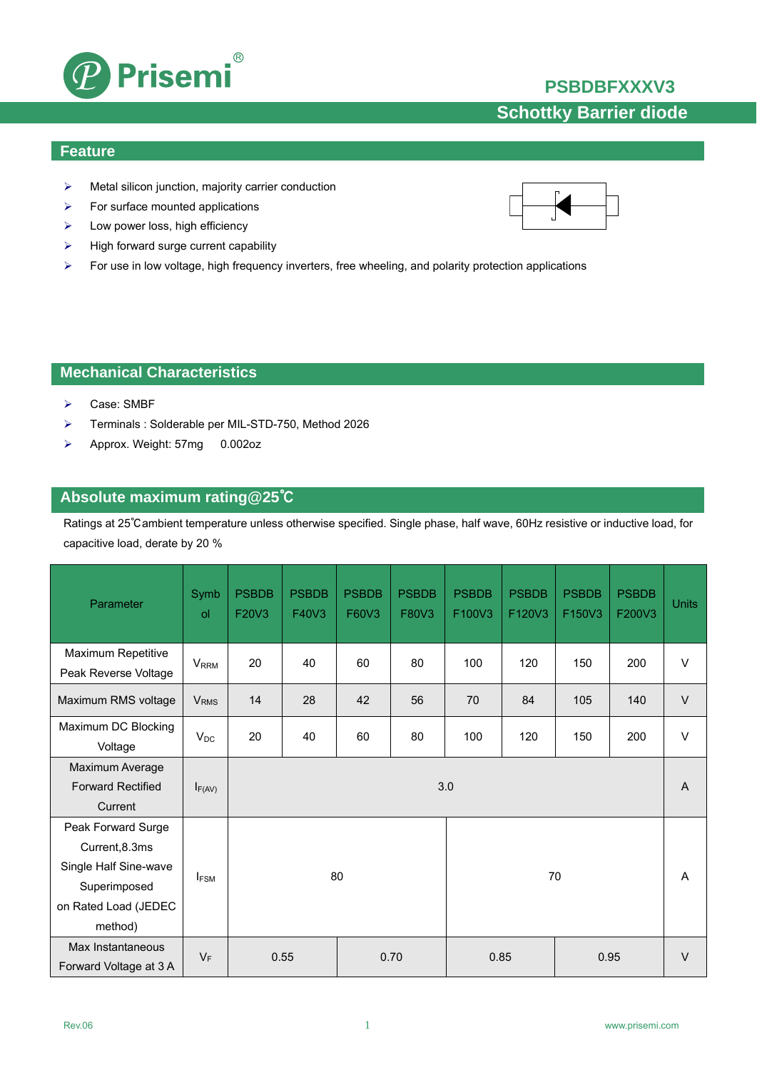## **PSBDBFXXXV3**



### **Feature**

¾ Metal silicon junction, majority carrier conduction

 $^{\circledR}$ 

- $\triangleright$  For surface mounted applications
- $\blacktriangleright$  Low power loss, high efficiency
- $\triangleright$  High forward surge current capability

**Prisemi** 

¾ For use in low voltage, high frequency inverters, free wheeling, and polarity protection applications

## **Mechanical Characteristics**

- ¾ Case: SMBF
- ¾ Terminals : Solderable per MIL-STD-750, Method 2026
- ¾ Approx. Weight: 57mg 0.002oz

### **Absolute maximum rating@25**℃

Ratings at 25℃ambient temperature unless otherwise specified. Single phase, half wave, 60Hz resistive or inductive load, for capacitive load, derate by 20 %

| Parameter                                                                                                        | Symb<br>$\mathsf{d}$    | <b>PSBDB</b><br>F20V3 | <b>PSBDB</b><br>F40V3 | <b>PSBDB</b><br>F60V3 | <b>PSBDB</b><br>F80V3 | <b>PSBDB</b><br>F100V3 | <b>PSBDB</b><br>F120V3 | <b>PSBDB</b><br>F150V3 | <b>PSBDB</b><br>F200V3 | <b>Units</b>  |
|------------------------------------------------------------------------------------------------------------------|-------------------------|-----------------------|-----------------------|-----------------------|-----------------------|------------------------|------------------------|------------------------|------------------------|---------------|
| Maximum Repetitive<br>Peak Reverse Voltage                                                                       | <b>VRRM</b>             | 20                    | 40                    | 60                    | 80                    | 100                    | 120                    | 150                    | 200                    | V             |
| Maximum RMS voltage                                                                                              | <b>V</b> <sub>RMS</sub> | 14                    | 28                    | 42                    | 56                    | 70                     | 84                     | 105                    | 140                    | $\vee$        |
| Maximum DC Blocking<br>Voltage                                                                                   | $V_{DC}$                | 20                    | 40                    | 60                    | 80                    | 100                    | 120                    | 150                    | 200                    | $\vee$        |
| Maximum Average<br><b>Forward Rectified</b><br>Current                                                           | $I_{F(AV)}$             | 3.0                   |                       |                       |                       |                        |                        |                        | A                      |               |
| Peak Forward Surge<br>Current, 8.3ms<br>Single Half Sine-wave<br>Superimposed<br>on Rated Load (JEDEC<br>method) | I <sub>FSM</sub>        | 80<br>70              |                       |                       |                       |                        |                        |                        | A                      |               |
| Max Instantaneous<br>Forward Voltage at 3 A                                                                      | $V_F$                   | 0.55<br>0.70          |                       |                       |                       | 0.85<br>0.95           |                        |                        |                        | $\mathcal{U}$ |

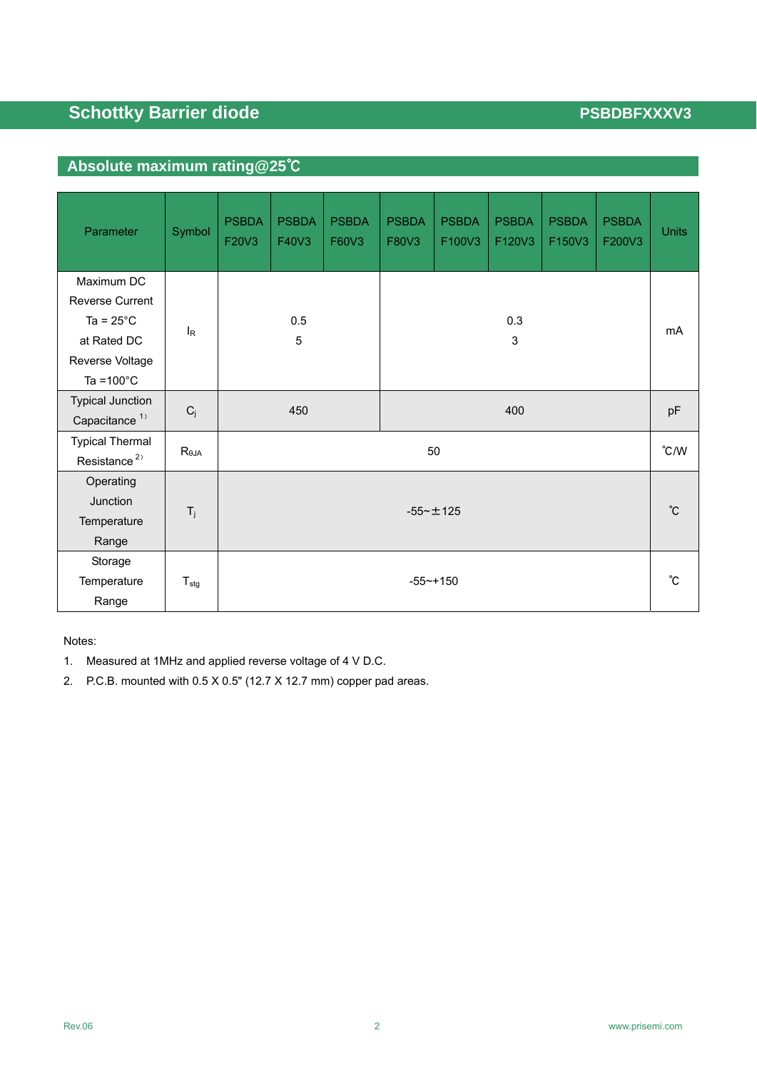# **Schottky Barrier diode PSBDBFXXXV3**

# **Absolute maximum rating@25**℃

| Parameter                                                                  | Symbol           | <b>PSBDA</b><br>F20V3 | <b>PSBDA</b><br>F40V3 | <b>PSBDA</b><br>F60V3 | <b>PSBDA</b><br>F80V3 | <b>PSBDA</b><br>F100V3 | <b>PSBDA</b><br>F120V3 | <b>PSBDA</b><br>F150V3 | <b>PSBDA</b><br>F200V3 | <b>Units</b> |
|----------------------------------------------------------------------------|------------------|-----------------------|-----------------------|-----------------------|-----------------------|------------------------|------------------------|------------------------|------------------------|--------------|
| Maximum DC<br><b>Reverse Current</b><br>Ta = $25^{\circ}$ C<br>at Rated DC | $I_R$            |                       | 0.5                   |                       |                       |                        | 0.3<br>3               |                        |                        | mA           |
| Reverse Voltage<br>Ta = $100^{\circ}$ C                                    |                  | 5                     |                       |                       |                       |                        |                        |                        |                        |              |
| <b>Typical Junction</b><br>Capacitance <sup>1)</sup>                       | $C_j$            | 450                   |                       |                       |                       | pF                     |                        |                        |                        |              |
| <b>Typical Thermal</b><br>Resistance <sup>2)</sup>                         | $R_{\theta JA}$  | 50                    |                       |                       |                       |                        |                        |                        | $\degree$ C/W          |              |
| Operating<br>Junction<br>Temperature<br>Range                              | $T_j$            | $-55 - \pm 125$       |                       |                       |                       |                        |                        | °С                     |                        |              |
| Storage<br>Temperature<br>Range                                            | $T_{\text{stg}}$ | $-55 - + 150$         |                       |                       |                       |                        |                        | °C                     |                        |              |

Notes:

- 1. Measured at 1MHz and applied reverse voltage of 4 V D.C.
- 2. P.C.B. mounted with 0.5 X 0.5" (12.7 X 12.7 mm) copper pad areas.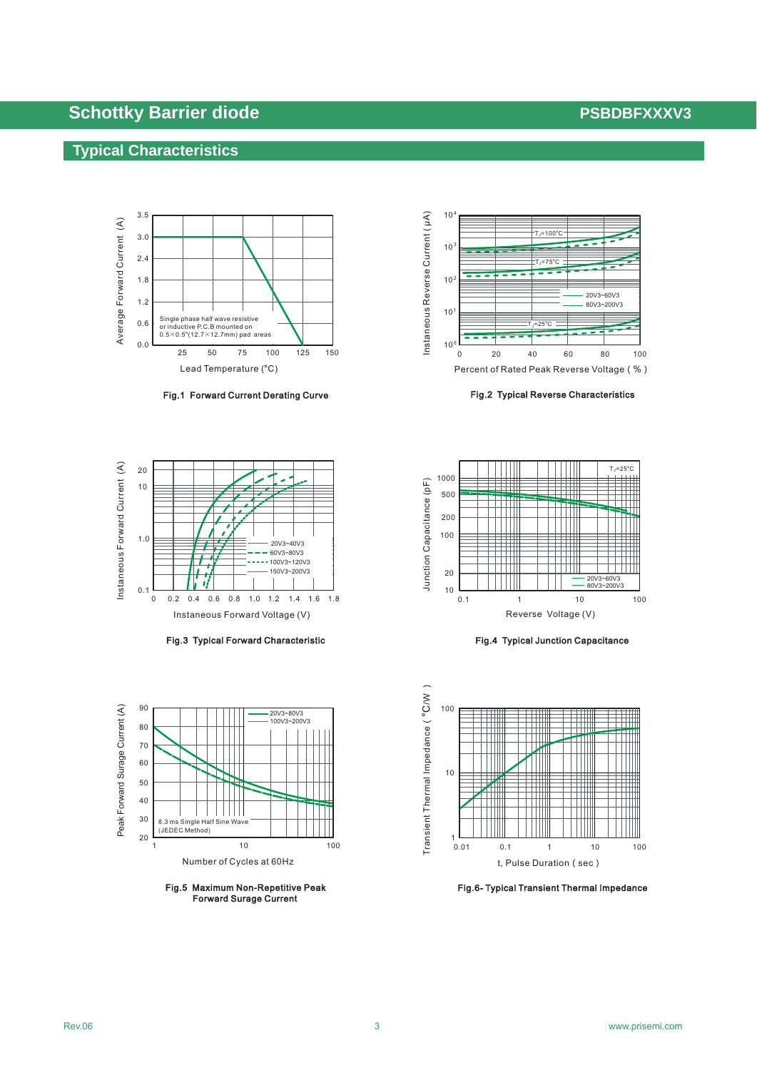# **Schottky Barrier diode PSBDBFXXXV3 PSBDBFXXXV3**

### **Typical Characteristics**



Fig.1 Forward Current Derating Curve



Fig.3 Typical Forward Characteristic



Fig.5 Maximum Non-Repetitive Peak Forward Surage Current



Fig.2 Typical Reverse Characteristics



Fig.4 Typical Junction Capacitance



Fig.6- Typical Transient Thermal Impedance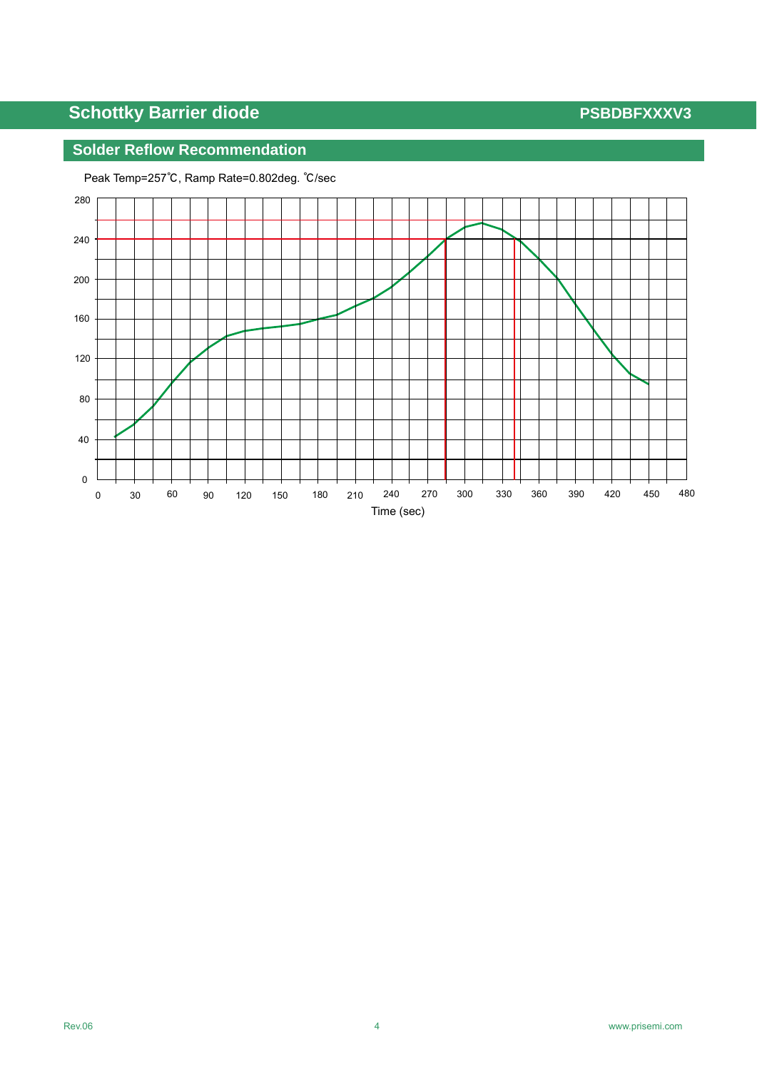# **Schottky Barrier diode PSBDBFXXXV3**

## **Solder Reflow Recommendation**



Peak Temp=257℃, Ramp Rate=0.802deg. ℃/sec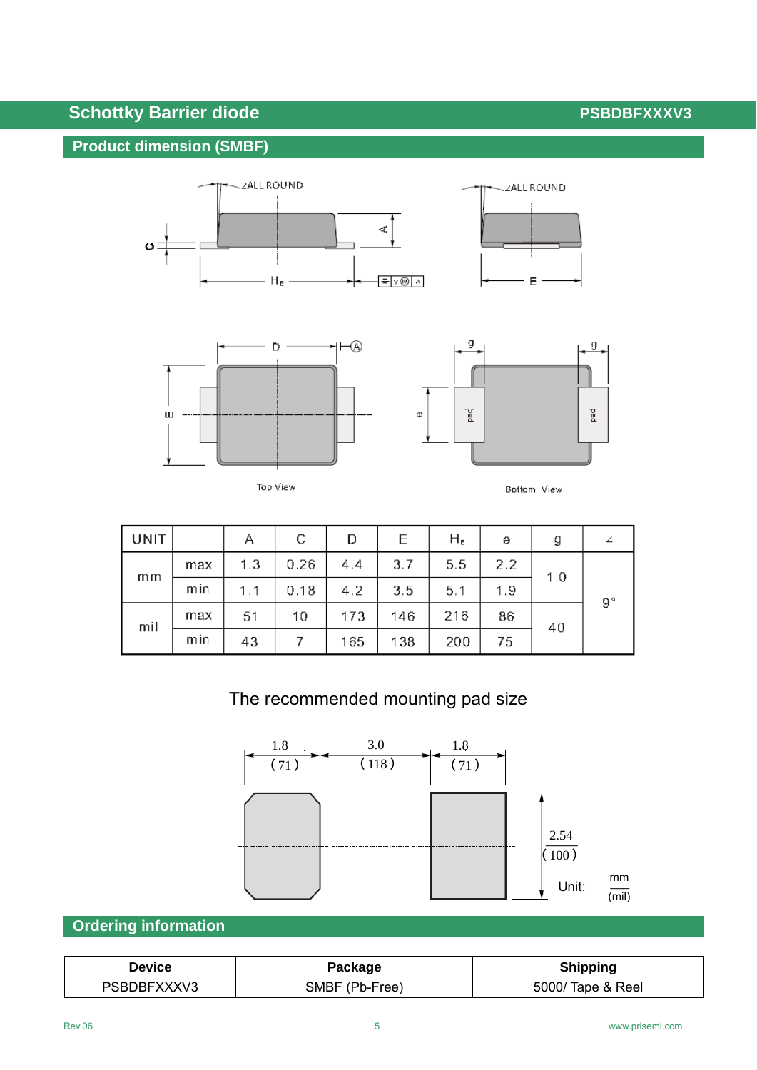# **Schottky Barrier diode PSBDBFXXXV3**

## **Product dimension (SMBF)**







|--|--|



| UNIT |     | Α   | С    | D   | Е   | $H_{E}$ | е   | g   |             |
|------|-----|-----|------|-----|-----|---------|-----|-----|-------------|
| mm   | max | 1.3 | 0.26 | 4.4 | 3.7 | 5.5     | 2.2 | 1.0 | $9^{\circ}$ |
|      | min | 1.1 | 0.18 | 4.2 | 3.5 | 5.1     | 1.9 |     |             |
| mil  | max | 51  | 10   | 173 | 146 | 216     | 86  | 40  |             |
|      | mın | 43  |      | 165 | 138 | 200     | 75  |     |             |

# The recommended mounting pad size



## **Ordering information**

| <b>Device</b> | Package        | <b>Shipping</b>   |  |  |  |  |
|---------------|----------------|-------------------|--|--|--|--|
| PSBDBFXXXV3   | SMBF (Pb-Free) | 5000/ Tape & Reel |  |  |  |  |